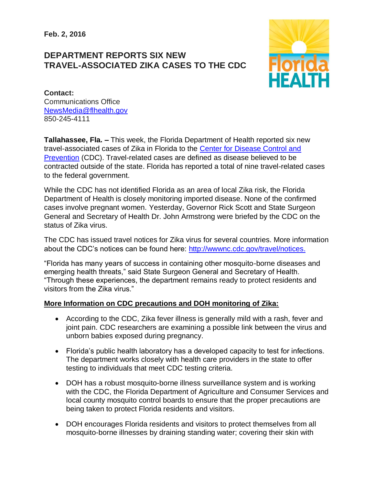**Feb. 2, 2016**

## **DEPARTMENT REPORTS SIX NEW TRAVEL-ASSOCIATED ZIKA CASES TO THE CDC**



**Contact:**  Communications Office [NewsMedia@flhealth.gov](mailto:NewsMedia@flhealth.gov) 850-245-4111

**Tallahassee, Fla. –** This week, the Florida Department of Health reported six new travel-associated cases of Zika in Florida to the [Center for Disease Control and](http://www.cdc.gov/zika/)  [Prevention](http://www.cdc.gov/zika/) (CDC). Travel-related cases are defined as disease believed to be contracted outside of the state. Florida has reported a total of nine travel-related cases to the federal government.

While the CDC has not identified Florida as an area of local Zika risk, the Florida Department of Health is closely monitoring imported disease. None of the confirmed cases involve pregnant women. Yesterday, Governor Rick Scott and State Surgeon General and Secretary of Health Dr. John Armstrong were briefed by the CDC on the status of Zika virus.

The CDC has issued travel notices for Zika virus for several countries. More information about the CDC's notices can be found here: [http://wwwnc.cdc.gov/travel/notices.](http://wwwnc.cdc.gov/travel/notices)

"Florida has many years of success in containing other mosquito-borne diseases and emerging health threats," said State Surgeon General and Secretary of Health. "Through these experiences, the department remains ready to protect residents and visitors from the Zika virus."

## **More Information on CDC precautions and DOH monitoring of Zika:**

- According to the CDC, Zika fever illness is generally mild with a rash, fever and joint pain. CDC researchers are examining a possible link between the virus and unborn babies exposed during pregnancy.
- Florida's public health laboratory has a developed capacity to test for infections. The department works closely with health care providers in the state to offer testing to individuals that meet CDC testing criteria.
- DOH has a robust mosquito-borne illness surveillance system and is working with the CDC, the Florida Department of Agriculture and Consumer Services and local county mosquito control boards to ensure that the proper precautions are being taken to protect Florida residents and visitors.
- DOH encourages Florida residents and visitors to protect themselves from all mosquito-borne illnesses by draining standing water; covering their skin with